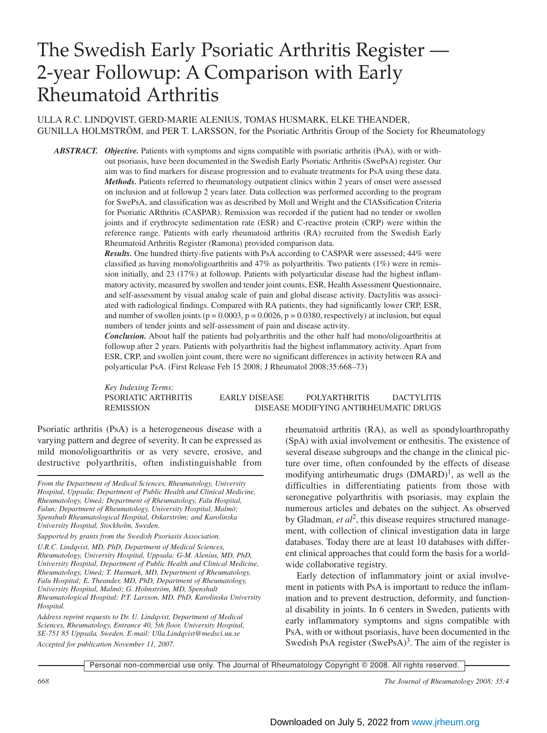# The Swedish Early Psoriatic Arthritis Register — 2-year Followup: A Comparison with Early Rheumatoid Arthritis

# ULLA R.C. LINDQVIST, GERD-MARIE ALENIUS, TOMAS HUSMARK, ELKE THEANDER, GUNILLA HOLMSTRÖM, and PER T. LARSSON, for the Psoriatic Arthritis Group of the Society for Rheumatology

*ABSTRACT. Objective.* Patients with symptoms and signs compatible with psoriatic arthritis (PsA), with or without psoriasis, have been documented in the Swedish Early Psoriatic Arthritis (SwePsA) register. Our aim was to find markers for disease progression and to evaluate treatments for PsA using these data. *Methods.* Patients referred to rheumatology outpatient clinics within 2 years of onset were assessed on inclusion and at followup 2 years later. Data collection was performed according to the program for SwePsA, and classification was as described by Moll and Wright and the ClASsification Criteria for Psoriatic ARthritis (CASPAR). Remission was recorded if the patient had no tender or swollen joints and if erythrocyte sedimentation rate (ESR) and C-reactive protein (CRP) were within the reference range. Patients with early rheumatoid arthritis (RA) recruited from the Swedish Early Rheumatoid Arthritis Register (Ramona) provided comparison data.

> *Results.* One hundred thirty-five patients with PsA according to CASPAR were assessed; 44% were classified as having mono/oligoarthritis and 47% as polyarthritis. Two patients  $(1%)$  were in remission initially, and 23 (17%) at followup. Patients with polyarticular disease had the highest inflammatory activity, measured by swollen and tender joint counts, ESR, Health Assessment Questionnaire, and self-assessment by visual analog scale of pain and global disease activity. Dactylitis was associated with radiological findings. Compared with RA patients, they had significantly lower CRP, ESR, and number of swollen joints ( $p = 0.0003$ ,  $p = 0.0026$ ,  $p = 0.0380$ , respectively) at inclusion, but equal numbers of tender joints and self-assessment of pain and disease activity.

> *Conclusion.* About half the patients had polyarthritis and the other half had mono/oligoarthritis at followup after 2 years. Patients with polyarthritis had the highest inflammatory activity. Apart from ESR, CRP, and swollen joint count, there were no significant differences in activity between RA and polyarticular PsA. (First Release Feb 15 2008; J Rheumatol 2008;35:668–73)

*Key Indexing Terms:*

PSORIATIC ARTHRITIS EARLY DISEASE POLYARTHRITIS DACTYLITIS REMISSION DISEASE MODIFYING ANTIRHEUMATIC DRUGS

Psoriatic arthritis (PsA) is a heterogeneous disease with a varying pattern and degree of severity. It can be expressed as mild mono/oligoarthritis or as very severe, erosive, and destructive polyarthritis, often indistinguishable from

*From the Department of Medical Sciences, Rheumatology, University Hospital, Uppsala; Department of Public Health and Clinical Medicine, Rheumatology, Umeå; Department of Rheumatology, Falu Hospital, Falun; Department of Rheumatology, University Hospital, Malmö; Spenshult Rheumatological Hospital, Oskarström; and Karolinska University Hospital, Stockholm, Sweden.*

*Supported by grants from the Swedish Psoriasis Association.*

*U.R.C. Lindqvist, MD, PhD, Department of Medical Sciences, Rheumatology, University Hospital, Uppsala; G-M. Alenius, MD, PhD, University Hospital, Department of Public Health and Clinical Medicine, Rheumatology, Umeå; T. Husmark, MD, Department of Rheumatology, Falu Hospital; E. Theander, MD, PhD, Department of Rheumatology, University Hospital, Malmö; G. Holmström, MD, Spenshult Rheumatological Hospital; P.T. Larsson, MD, PhD, Karolinska University Hospital.*

*Address reprint requests to Dr. U. Lindqvist, Department of Medical Sciences, Rheumatology, Entrance 40, 5th floor, University Hospital, SE-751 85 Uppsala, Sweden. E-mail: Ulla.Lindqvist@medsci.uu.se Accepted for publication November 11, 2007.*

rheumatoid arthritis (RA), as well as spondyloarthropathy (SpA) with axial involvement or enthesitis. The existence of several disease subgroups and the change in the clinical picture over time, often confounded by the effects of disease modifying antirheumatic drugs  $(DMARD)^1$ , as well as the difficulties in differentiating patients from those with seronegative polyarthritis with psoriasis, may explain the numerous articles and debates on the subject. As observed by Gladman, *et al*<sup>2</sup>, this disease requires structured management, with collection of clinical investigation data in large databases. Today there are at least 10 databases with different clinical approaches that could form the basis for a worldwide collaborative registry.

Early detection of inflammatory joint or axial involvement in patients with PsA is important to reduce the inflammation and to prevent destruction, deformity, and functional disability in joints. In 6 centers in Sweden, patients with early inflammatory symptoms and signs compatible with PsA, with or without psoriasis, have been documented in the Swedish PsA register  $(SwPsA)<sup>3</sup>$ . The aim of the register is

Personal non-commercial use only. The Journal of Rheumatology Copyright © 2008. All rights reserved.

*668 The Journal of Rheumatology 2008; 35:4*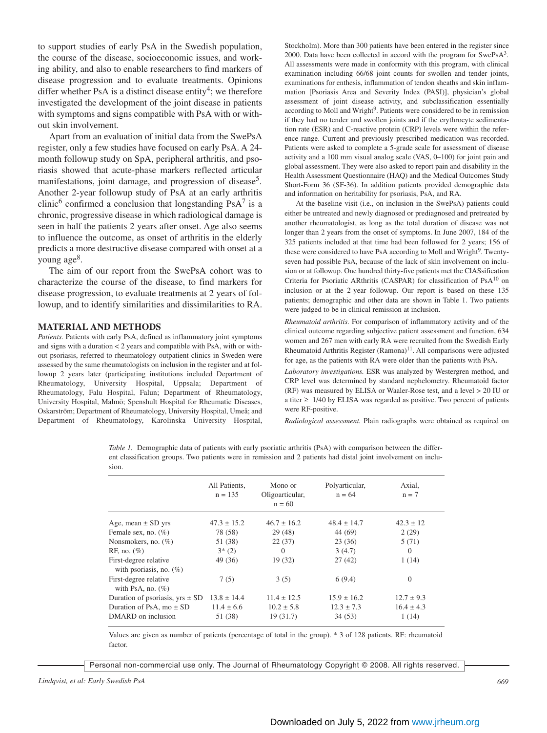to support studies of early PsA in the Swedish population, the course of the disease, socioeconomic issues, and working ability, and also to enable researchers to find markers of disease progression and to evaluate treatments. Opinions differ whether PsA is a distinct disease entity<sup>4</sup>; we therefore investigated the development of the joint disease in patients with symptoms and signs compatible with PsA with or without skin involvement.

Apart from an evaluation of initial data from the SwePsA register, only a few studies have focused on early PsA. A 24 month followup study on SpA, peripheral arthritis, and psoriasis showed that acute-phase markers reflected articular manifestations, joint damage, and progression of disease<sup>5</sup>. Another 2-year followup study of PsA at an early arthritis clinic<sup>6</sup> confirmed a conclusion that longstanding  $PsA^7$  is a chronic, progressive disease in which radiological damage is seen in half the patients 2 years after onset. Age also seems to influence the outcome, as onset of arthritis in the elderly predicts a more destructive disease compared with onset at a young age8.

The aim of our report from the SwePsA cohort was to characterize the course of the disease, to find markers for disease progression, to evaluate treatments at 2 years of followup, and to identify similarities and dissimilarities to RA.

#### **MATERIAL AND METHODS**

*Patients.* Patients with early PsA, defined as inflammatory joint symptoms and signs with a duration < 2 years and compatible with PsA, with or without psoriasis, referred to rheumatology outpatient clinics in Sweden were assessed by the same rheumatologists on inclusion in the register and at followup 2 years later (participating institutions included Department of Rheumatology, University Hospital, Uppsala; Department of Rheumatology, Falu Hospital, Falun; Department of Rheumatology, University Hospital, Malmö; Spenshult Hospital for Rheumatic Diseases, Oskarström; Department of Rheumatology, University Hospital, Umeå; and Department of Rheumatology, Karolinska University Hospital,

Stockholm). More than 300 patients have been entered in the register since 2000. Data have been collected in accord with the program for SwePsA<sup>3</sup>. All assessments were made in conformity with this program, with clinical examination including 66/68 joint counts for swollen and tender joints, examinations for enthesis, inflammation of tendon sheaths and skin inflammation [Psoriasis Area and Severity Index (PASI)], physician's global assessment of joint disease activity, and subclassification essentially according to Moll and Wright<sup>9</sup>. Patients were considered to be in remission if they had no tender and swollen joints and if the erythrocyte sedimentation rate (ESR) and C-reactive protein (CRP) levels were within the reference range. Current and previously prescribed medication was recorded. Patients were asked to complete a 5-grade scale for assessment of disease activity and a 100 mm visual analog scale (VAS, 0–100) for joint pain and global assessment. They were also asked to report pain and disability in the Health Assessment Questionnaire (HAQ) and the Medical Outcomes Study Short-Form 36 (SF-36). In addition patients provided demographic data and information on heritability for psoriasis, PsA, and RA.

At the baseline visit (i.e., on inclusion in the SwePsA) patients could either be untreated and newly diagnosed or prediagnosed and pretreated by another rheumatologist, as long as the total duration of disease was not longer than 2 years from the onset of symptoms. In June 2007, 184 of the 325 patients included at that time had been followed for 2 years; 156 of these were considered to have PsA according to Moll and Wright<sup>9</sup>. Twentyseven had possible PsA, because of the lack of skin involvement on inclusion or at followup. One hundred thirty-five patients met the ClASsification Criteria for Psoriatic ARthritis (CASPAR) for classification of PsA10 on inclusion or at the 2-year followup. Our report is based on these 135 patients; demographic and other data are shown in Table 1. Two patients were judged to be in clinical remission at inclusion.

*Rheumatoid arthritis.* For comparison of inflammatory activity and of the clinical outcome regarding subjective patient assessment and function, 634 women and 267 men with early RA were recruited from the Swedish Early Rheumatoid Arthritis Register (Ramona)<sup>11</sup>. All comparisons were adjusted for age, as the patients with RA were older than the patients with PsA.

*Laboratory investigations.* ESR was analyzed by Westergren method, and CRP level was determined by standard nephelometry. Rheumatoid factor (RF) was measured by ELISA or Waaler-Rose test, and a level > 20 IU or a titer  $\geq$  1/40 by ELISA was regarded as positive. Two percent of patients were RF-positive.

*Radiological assessment.* Plain radiographs were obtained as required on

*Table 1.* Demographic data of patients with early psoriatic arthritis (PsA) with comparison between the different classification groups. Two patients were in remission and 2 patients had distal joint involvement on inclusion.

|                                                     | All Patients.<br>$n = 135$ | Mono or<br>Oligoarticular,<br>$n = 60$ | Polyarticular,<br>$n = 64$ | Axial,<br>$n = 7$ |
|-----------------------------------------------------|----------------------------|----------------------------------------|----------------------------|-------------------|
| Age, mean $\pm$ SD yrs                              | $47.3 \pm 15.2$            | $46.7 \pm 16.2$                        | $48.4 \pm 14.7$            | $42.3 \pm 12$     |
| Female sex, no. $(\% )$                             | 78 (58)                    | 29(48)                                 | 44 (69)                    | 2(29)             |
| Nonsmokers, no. $(\%)$                              | 51 (38)                    | 22(37)                                 | 23(36)                     | 5(71)             |
| RF, no. $(\%)$                                      | $3*(2)$                    | $\Omega$                               | 3(4.7)                     | $\Omega$          |
| First-degree relative<br>with psoriasis, no. $(\%)$ | 49 (36)                    | 19(32)                                 | 27(42)                     | 1(14)             |
| First-degree relative<br>with PsA, no. $(\% )$      | 7(5)                       | 3(5)                                   | 6(9.4)                     | $\Omega$          |
| Duration of psoriasis, $yrs \pm SD$                 | $13.8 \pm 14.4$            | $11.4 \pm 12.5$                        | $15.9 \pm 16.2$            | $12.7 \pm 9.3$    |
| Duration of PsA, $mo \pm SD$                        | $11.4 \pm 6.6$             | $10.2 \pm 5.8$                         | $12.3 \pm 7.3$             | $16.4 \pm 4.3$    |
| DMARD on inclusion                                  | 51 (38)                    | 19(31.7)                               | 34(53)                     | 1(14)             |

Values are given as number of patients (percentage of total in the group). \* 3 of 128 patients. RF: rheumatoid factor.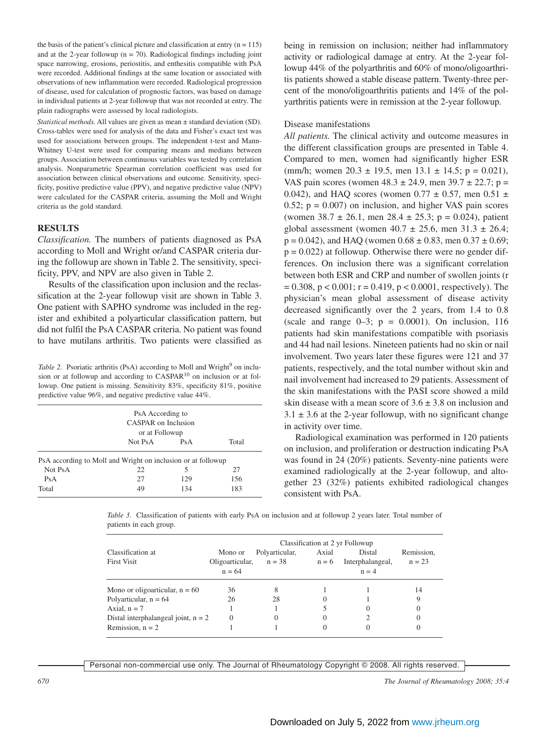the basis of the patient's clinical picture and classification at entry  $(n = 115)$ and at the 2-year followup ( $n = 70$ ). Radiological findings including joint space narrowing, erosions, periostitis, and enthesitis compatible with PsA were recorded. Additional findings at the same location or associated with observations of new inflammation were recorded. Radiological progression of disease, used for calculation of prognostic factors, was based on damage in individual patients at 2-year followup that was not recorded at entry. The plain radiographs were assessed by local radiologists.

*Statistical methods.* All values are given as mean ± standard deviation (SD). Cross-tables were used for analysis of the data and Fisher's exact test was used for associations between groups. The independent t-test and Mann-Whitney U-test were used for comparing means and medians between groups. Association between continuous variables was tested by correlation analysis. Nonparametric Spearman correlation coefficient was used for association between clinical observations and outcome. Sensitivity, specificity, positive predictive value (PPV), and negative predictive value (NPV) were calculated for the CASPAR criteria, assuming the Moll and Wright criteria as the gold standard.

## **RESULTS**

*Classification.* The numbers of patients diagnosed as PsA according to Moll and Wright or/and CASPAR criteria during the followup are shown in Table 2. The sensitivity, specificity, PPV, and NPV are also given in Table 2.

Results of the classification upon inclusion and the reclassification at the 2-year followup visit are shown in Table 3. One patient with SAPHO syndrome was included in the register and exhibited a polyarticular classification pattern, but did not fulfil the PsA CASPAR criteria. No patient was found to have mutilans arthritis. Two patients were classified as

*Table 2.* Psoriatic arthritis (PsA) according to Moll and Wright<sup>9</sup> on inclusion or at followup and according to CASPAR<sup>10</sup> on inclusion or at followup. One patient is missing. Sensitivity 83%, specificity 81%, positive predictive value 96%, and negative predictive value 44%.

|         | PsA According to<br>CASPAR on Inclusion<br>or at Followup    |     |     |  |  |
|---------|--------------------------------------------------------------|-----|-----|--|--|
|         | Not PsA                                                      | PsA |     |  |  |
|         | PsA according to Moll and Wright on inclusion or at followup |     |     |  |  |
| Not PsA | 22.                                                          | 5   | 27  |  |  |
| PsA     | 27                                                           | 129 | 156 |  |  |
| Total   | 49                                                           | 134 | 183 |  |  |

being in remission on inclusion; neither had inflammatory activity or radiological damage at entry. At the 2-year followup 44% of the polyarthritis and 60% of mono/oligoarthritis patients showed a stable disease pattern. Twenty-three percent of the mono/oligoarthritis patients and 14% of the polyarthritis patients were in remission at the 2-year followup.

#### Disease manifestations

*All patients.* The clinical activity and outcome measures in the different classification groups are presented in Table 4. Compared to men, women had significantly higher ESR (mm/h; women  $20.3 \pm 19.5$ , men  $13.1 \pm 14.5$ ; p = 0.021), VAS pain scores (women  $48.3 \pm 24.9$ , men  $39.7 \pm 22.7$ ; p = 0.042), and HAQ scores (women  $0.77 \pm 0.57$ , men  $0.51 \pm 0.57$ 0.52;  $p = 0.007$ ) on inclusion, and higher VAS pain scores (women  $38.7 \pm 26.1$ , men  $28.4 \pm 25.3$ ; p = 0.024), patient global assessment (women  $40.7 \pm 25.6$ , men  $31.3 \pm 26.4$ ;  $p = 0.042$ ), and HAQ (women  $0.68 \pm 0.83$ , men  $0.37 \pm 0.69$ ;  $p = 0.022$ ) at followup. Otherwise there were no gender differences. On inclusion there was a significant correlation between both ESR and CRP and number of swollen joints (r  $= 0.308$ ,  $p < 0.001$ ;  $r = 0.419$ ,  $p < 0.0001$ , respectively). The physician's mean global assessment of disease activity decreased significantly over the 2 years, from 1.4 to 0.8 (scale and range  $0-3$ ;  $p = 0.0001$ ). On inclusion, 116 patients had skin manifestations compatible with psoriasis and 44 had nail lesions. Nineteen patients had no skin or nail involvement. Two years later these figures were 121 and 37 patients, respectively, and the total number without skin and nail involvement had increased to 29 patients. Assessment of the skin manifestations with the PASI score showed a mild skin disease with a mean score of  $3.6 \pm 3.8$  on inclusion and  $3.1 \pm 3.6$  at the 2-year followup, with no significant change in activity over time.

Radiological examination was performed in 120 patients on inclusion, and proliferation or destruction indicating PsA was found in 24 (20%) patients. Seventy-nine patients were examined radiologically at the 2-year followup, and altogether 23 (32%) patients exhibited radiological changes consistent with PsA.

*Table 3.* Classification of patients with early PsA on inclusion and at followup 2 years later. Total number of patients in each group.

|                                         | Classification at 2 yr Followup        |                            |                  |                                       |                        |  |
|-----------------------------------------|----------------------------------------|----------------------------|------------------|---------------------------------------|------------------------|--|
| Classification at<br><b>First Visit</b> | Mono or<br>Oligoarticular,<br>$n = 64$ | Polyarticular,<br>$n = 38$ | Axial<br>$n = 6$ | Distal<br>Interphalangeal,<br>$n = 4$ | Remission.<br>$n = 23$ |  |
| Mono or oligoarticular, $n = 60$        | 36                                     | 8                          |                  |                                       | 14                     |  |
| Polyarticular, $n = 64$                 | 26                                     | 28                         | $\theta$         |                                       | 9                      |  |
| Axial, $n = 7$                          |                                        |                            |                  | 0                                     |                        |  |
| Distal interphalangeal joint, $n = 2$   | $\Omega$                               | 0                          | 0                |                                       |                        |  |
| Remission, $n = 2$                      |                                        |                            | 0                | 0                                     |                        |  |

Personal non-commercial use only. The Journal of Rheumatology Copyright © 2008. All rights reserved.

*670 The Journal of Rheumatology 2008; 35:4*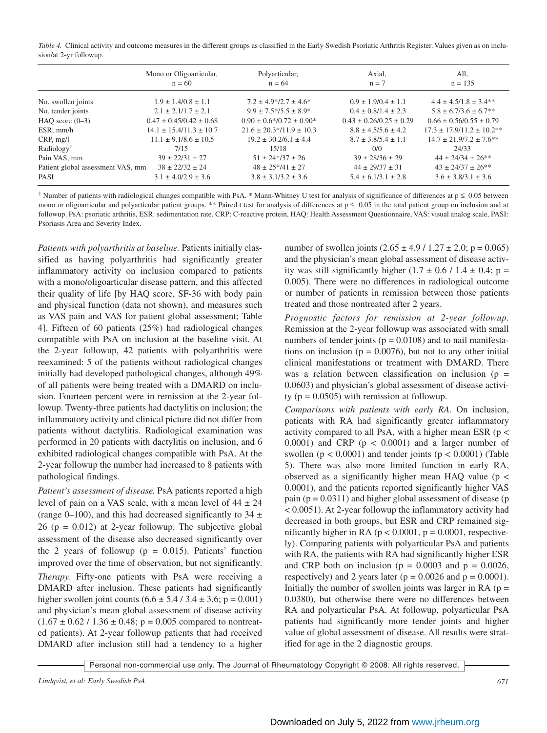*Table 4.* Clinical activity and outcome measures in the different groups as classified in the Early Swedish Psoriatic Arthritis Register. Values given as on inclusion/at 2-yr followup.

|                                   | Mono or Oligoarticular,<br>$n = 60$ | Polyarticular,<br>$n = 64$                  | Axial,<br>$n = 7$             | All,<br>$n = 135$               |
|-----------------------------------|-------------------------------------|---------------------------------------------|-------------------------------|---------------------------------|
| No. swollen joints                | $1.9 \pm 1.4/0.8 \pm 1.1$           | $7.2 \pm 4.9*/2.7 \pm 4.6*$                 | $0.9 \pm 1.9/0.4 \pm 1.1$     | $4.4 \pm 4.5/1.8 \pm 3.4**$     |
| No. tender joints                 | $2.1 \pm 2.1/1.7 \pm 2.1$           | $9.9 \pm 7.5 \times 7.5 \pm 8.9 \times 7.5$ | $0.4 \pm 0.8/1.4 \pm 2.3$     | $5.8 \pm 6.7/3.6 \pm 6.7**$     |
| HAQ score $(0-3)$                 | $0.47 \pm 0.45/0.42 \pm 0.68$       | $0.90 \pm 0.6*/0.72 \pm 0.90*$              | $0.43 \pm 0.26/0.25 \pm 0.29$ | $0.66 \pm 0.56/0.55 \pm 0.79$   |
| ESR, mm/h                         | $14.1 \pm 15.4/11.3 \pm 10.7$       | $21.6 \pm 20.3 \times 11.9 \pm 10.3$        | $8.8 \pm 4.5/5.6 \pm 4.2$     | $17.3 \pm 17.9/11.2 \pm 10.2**$ |
| CRP, mg/l                         | $11.1 \pm 9.1/8.6 \pm 10.5$         | $19.2 \pm 30.2/6.1 \pm 4.4$                 | $8.7 \pm 3.8/5.4 \pm 1.1$     | $14.7 \pm 21.9/7.2 \pm 7.6***$  |
| Radiology <sup>†</sup>            | 7/15                                | 15/18                                       | 0/0                           | 24/33                           |
| Pain VAS, mm                      | $39 \pm 22/31 \pm 27$               | $51 \pm 24*/37 \pm 26$                      | $39 \pm 28/36 \pm 29$         | $44 \pm 24/34 \pm 26$ **        |
| Patient global assessment VAS, mm | $38 \pm 22/32 \pm 24$               | $48 \pm 25*/41 \pm 27$                      | $44 \pm 29/37 \pm 31$         | $43 \pm 24/37 \pm 26**$         |
| <b>PASI</b>                       | $3.1 \pm 4.0/2.9 \pm 3.6$           | $3.8 \pm 3.1/3.2 \pm 3.6$                   | $5.4 \pm 6.1/3.1 \pm 2.8$     | $3.6 \pm 3.8/3.1 \pm 3.6$       |

<sup>†</sup> Number of patients with radiological changes compatible with PsA. \* Mann-Whitney U test for analysis of significance of differences at  $p \le 0.05$  between mono or oligoarticular and polyarticular patient groups. \*\* Paired t test for analysis of differences at  $p \le 0.05$  in the total patient group on inclusion and at followup. PsA: psoriatic arthritis, ESR: sedimentation rate. CRP: C-reactive protein, HAQ: Health Assessment Questionnaire, VAS: visual analog scale, PASI: Psoriasis Area and Severity Index.

*Patients with polyarthritis at baseline.* Patients initially classified as having polyarthritis had significantly greater inflammatory activity on inclusion compared to patients with a mono/oligoarticular disease pattern, and this affected their quality of life [by HAQ score, SF-36 with body pain and physical function (data not shown), and measures such as VAS pain and VAS for patient global assessment; Table 4]. Fifteen of 60 patients (25%) had radiological changes compatible with PsA on inclusion at the baseline visit. At the 2-year followup, 42 patients with polyarthritis were reexamined: 5 of the patients without radiological changes initially had developed pathological changes, although 49% of all patients were being treated with a DMARD on inclusion. Fourteen percent were in remission at the 2-year followup. Twenty-three patients had dactylitis on inclusion; the inflammatory activity and clinical picture did not differ from patients without dactylitis. Radiological examination was performed in 20 patients with dactylitis on inclusion, and 6 exhibited radiological changes compatible with PsA. At the 2-year followup the number had increased to 8 patients with pathological findings.

*Patient's assessment of disease.* PsA patients reported a high level of pain on a VAS scale, with a mean level of  $44 \pm 24$ (range 0–100), and this had decreased significantly to  $34 \pm$ 26 ( $p = 0.012$ ) at 2-year followup. The subjective global assessment of the disease also decreased significantly over the 2 years of followup ( $p = 0.015$ ). Patients' function improved over the time of observation, but not significantly.

*Therapy.* Fifty-one patients with PsA were receiving a DMARD after inclusion. These patients had significantly higher swollen joint counts  $(6.6 \pm 5.4 / 3.4 \pm 3.6; p = 0.001)$ and physician's mean global assessment of disease activity  $(1.67 \pm 0.62 / 1.36 \pm 0.48; p = 0.005$  compared to nontreated patients). At 2-year followup patients that had received DMARD after inclusion still had a tendency to a higher number of swollen joints  $(2.65 \pm 4.9 / 1.27 \pm 2.0; p = 0.065)$ and the physician's mean global assessment of disease activity was still significantly higher  $(1.7 \pm 0.6 / 1.4 \pm 0.4; p =$ 0.005). There were no differences in radiological outcome or number of patients in remission between those patients treated and those nontreated after 2 years.

*Prognostic factors for remission at 2-year followup.* Remission at the 2-year followup was associated with small numbers of tender joints ( $p = 0.0108$ ) and to nail manifestations on inclusion ( $p = 0.0076$ ), but not to any other initial clinical manifestations or treatment with DMARD. There was a relation between classification on inclusion ( $p =$ 0.0603) and physician's global assessment of disease activity ( $p = 0.0505$ ) with remission at followup.

*Comparisons with patients with early RA.* On inclusion, patients with RA had significantly greater inflammatory activity compared to all PsA, with a higher mean ESR ( $p <$ 0.0001) and CRP ( $p < 0.0001$ ) and a larger number of swollen ( $p < 0.0001$ ) and tender joints ( $p < 0.0001$ ) (Table 5). There was also more limited function in early RA, observed as a significantly higher mean HAQ value ( $p <$ 0.0001), and the patients reported significantly higher VAS pain  $(p = 0.0311)$  and higher global assessment of disease (p < 0.0051). At 2-year followup the inflammatory activity had decreased in both groups, but ESR and CRP remained significantly higher in RA ( $p < 0.0001$ ,  $p = 0.0001$ , respectively). Comparing patients with polyarticular PsA and patients with RA, the patients with RA had significantly higher ESR and CRP both on inclusion ( $p = 0.0003$  and  $p = 0.0026$ , respectively) and 2 years later ( $p = 0.0026$  and  $p = 0.0001$ ). Initially the number of swollen joints was larger in RA  $(p =$ 0.0380), but otherwise there were no differences between RA and polyarticular PsA. At followup, polyarticular PsA patients had significantly more tender joints and higher value of global assessment of disease. All results were stratified for age in the 2 diagnostic groups.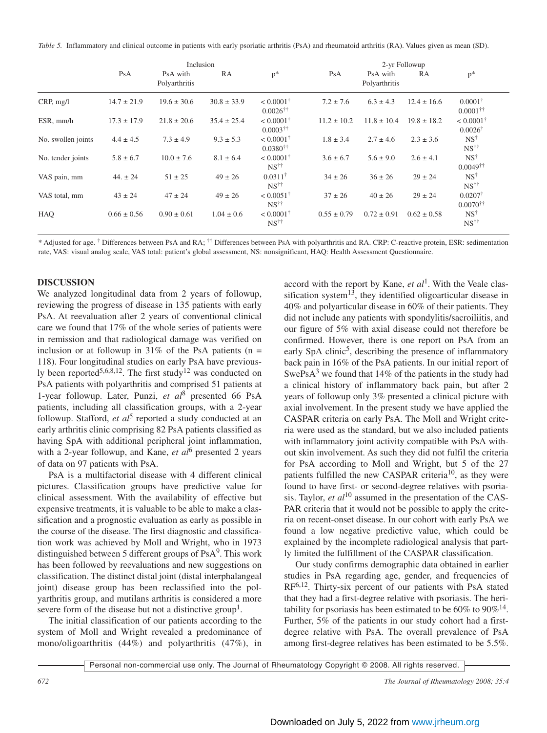*Table 5.* Inflammatory and clinical outcome in patients with early psoriatic arthritis (PsA) and rheumatoid arthritis (RA). Values given as mean (SD).

|                    | Inclusion       |                           |                 |                                                   | 2-yr Followup   |                           |                 |                                              |
|--------------------|-----------------|---------------------------|-----------------|---------------------------------------------------|-----------------|---------------------------|-----------------|----------------------------------------------|
|                    | PsA             | PsA with<br>Polyarthritis | RA              | $p^*$                                             | PsA             | PsA with<br>Polyarthritis | RA              | $p^*$                                        |
| CRP, mg/l          | $14.7 \pm 21.9$ | $19.6 \pm 30.6$           | $30.8 \pm 33.9$ | $< 0.0001^{\dagger}$<br>$0.0026^{\dagger\dagger}$ | $7.2 \pm 7.6$   | $6.3 \pm 4.3$             | $12.4 \pm 16.6$ | $0.0001^{\dagger}$<br>$0.0001$ <sup>††</sup> |
| $ESR.$ mm/h        | $17.3 \pm 17.9$ | $21.8 \pm 20.6$           | $35.4 \pm 25.4$ | $< 0.0001^{\dagger}$<br>$0.0003^{\dagger\dagger}$ | $11.2 \pm 10.2$ | $11.8 \pm 10.4$           | $19.8 \pm 18.2$ | $< 0.0001^{\dagger}$<br>$0.0026^{\dagger}$   |
| No. swollen joints | $4.4 \pm 4.5$   | $7.3 \pm 4.9$             | $9.3 \pm 5.3$   | $< 0.0001^{\dagger}$<br>$0.0380^{\dagger\dagger}$ | $1.8 \pm 3.4$   | $2.7 \pm 4.6$             | $2.3 \pm 3.6$   | $NS^{\dagger}$<br>$NS^{\dagger\dagger}$      |
| No. tender joints  | $5.8 \pm 6.7$   | $10.0 \pm 7.6$            | $8.1 \pm 6.4$   | $< 0.0001^{\dagger}$<br>$NS^{\dagger\dagger}$     | $3.6 \pm 6.7$   | $5.6 \pm 9.0$             | $2.6 \pm 4.1$   | $NS^{\dagger}$<br>$0.0049^{\dagger\dagger}$  |
| VAS pain, mm       | $44. \pm 24$    | $51 \pm 25$               | $49 \pm 26$     | $0.0311^{\dagger}$<br>$NS^{\dagger\dagger}$       | $34 \pm 26$     | $36 \pm 26$               | $29 \pm 24$     | $NS^{\dagger}$<br>$NS^{\dagger\dagger}$      |
| VAS total, mm      | $43 \pm 24$     | $47 \pm 24$               | $49 \pm 26$     | $< 0.0051^{\dagger}$<br>$NS^{\dagger\dagger}$     | $37 \pm 26$     | $40 \pm 26$               | $29 \pm 24$     | $0.0207^{\dagger}$<br>$0.0070$ <sup>††</sup> |
| HAQ                | $0.66 \pm 0.56$ | $0.90 \pm 0.61$           | $1.04 \pm 0.6$  | $< 0.0001^{\dagger}$<br>$NS^{\dagger\dagger}$     | $0.55 \pm 0.79$ | $0.72 \pm 0.91$           | $0.62 \pm 0.58$ | $NS^{\dagger}$<br>$NS^{\dagger\dagger}$      |

\* Adjusted for age. † Differences between PsA and RA; †† Differences between PsA with polyarthritis and RA. CRP: C-reactive protein, ESR: sedimentation rate, VAS: visual analog scale, VAS total: patient's global assessment, NS: nonsignificant, HAQ: Health Assessment Questionnaire.

## **DISCUSSION**

We analyzed longitudinal data from 2 years of followup, reviewing the progress of disease in 135 patients with early PsA. At reevaluation after 2 years of conventional clinical care we found that 17% of the whole series of patients were in remission and that radiological damage was verified on inclusion or at followup in 31% of the PsA patients ( $n =$ 118). Four longitudinal studies on early PsA have previously been reported<sup>5,6,8,12</sup>. The first study<sup>12</sup> was conducted on PsA patients with polyarthritis and comprised 51 patients at 1-year followup. Later, Punzi, *et al*<sup>8</sup> presented 66 PsA patients, including all classification groups, with a 2-year followup. Stafford, *et al*<sup>5</sup> reported a study conducted at an early arthritis clinic comprising 82 PsA patients classified as having SpA with additional peripheral joint inflammation, with a 2-year followup, and Kane, *et al*<sup>6</sup> presented 2 years of data on 97 patients with PsA.

PsA is a multifactorial disease with 4 different clinical pictures. Classification groups have predictive value for clinical assessment. With the availability of effective but expensive treatments, it is valuable to be able to make a classification and a prognostic evaluation as early as possible in the course of the disease. The first diagnostic and classification work was achieved by Moll and Wright, who in 1973 distinguished between 5 different groups of  $PsA<sup>9</sup>$ . This work has been followed by reevaluations and new suggestions on classification. The distinct distal joint (distal interphalangeal joint) disease group has been reclassified into the polyarthritis group, and mutilans arthritis is considered a more severe form of the disease but not a distinctive group<sup>1</sup>.

The initial classification of our patients according to the system of Moll and Wright revealed a predominance of mono/oligoarthritis (44%) and polyarthritis (47%), in accord with the report by Kane, *et al*1. With the Veale classification system<sup>13</sup>, they identified oligoarticular disease in 40% and polyarticular disease in 60% of their patients. They did not include any patients with spondylitis/sacroiliitis, and our figure of 5% with axial disease could not therefore be confirmed. However, there is one report on PsA from an early SpA clinic<sup>5</sup>, describing the presence of inflammatory back pain in 16% of the PsA patients. In our initial report of SwePs $A<sup>3</sup>$  we found that 14% of the patients in the study had a clinical history of inflammatory back pain, but after 2 years of followup only 3% presented a clinical picture with axial involvement. In the present study we have applied the CASPAR criteria on early PsA. The Moll and Wright criteria were used as the standard, but we also included patients with inflammatory joint activity compatible with PsA without skin involvement. As such they did not fulfil the criteria for PsA according to Moll and Wright, but 5 of the 27 patients fulfilled the new CASPAR criteria<sup>10</sup>, as they were found to have first- or second-degree relatives with psoriasis. Taylor, *et al*<sup>10</sup> assumed in the presentation of the CAS-PAR criteria that it would not be possible to apply the criteria on recent-onset disease. In our cohort with early PsA we found a low negative predictive value, which could be explained by the incomplete radiological analysis that partly limited the fulfillment of the CASPAR classification.

Our study confirms demographic data obtained in earlier studies in PsA regarding age, gender, and frequencies of RF6,12. Thirty-six percent of our patients with PsA stated that they had a first-degree relative with psoriasis. The heritability for psoriasis has been estimated to be  $60\%$  to  $90\%$ <sup>14</sup>. Further, 5% of the patients in our study cohort had a firstdegree relative with PsA. The overall prevalence of PsA among first-degree relatives has been estimated to be 5.5%.